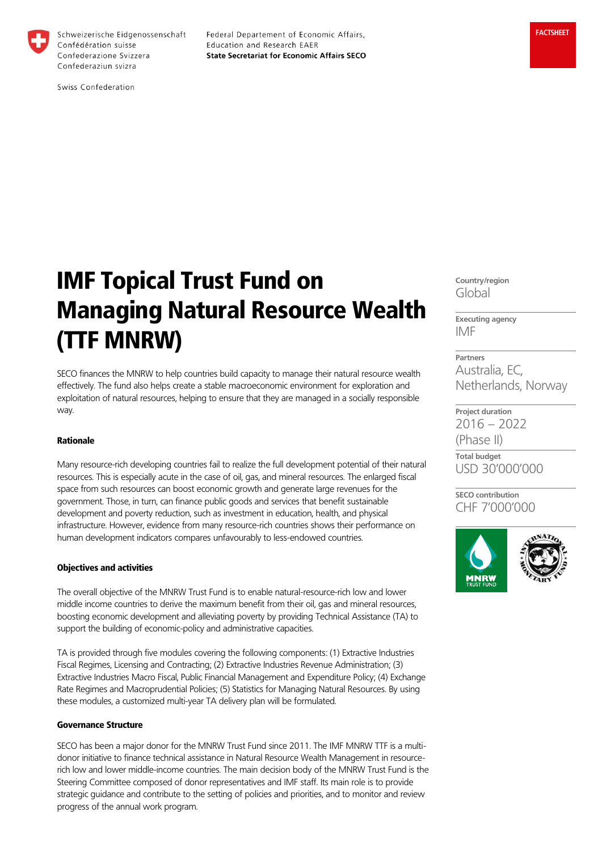

Schweizerische Eidgenossenschaft Confédération suisse Confederazione Svizzera Confederaziun svizra

Federal Departement of Economic Affairs, Education and Research EAER **State Secretariat for Economic Affairs SECO** 

Swiss Confederation

# IMF Topical Trust Fund on Managing Natural Resource Wealth (TTF MNRW)

SECO finances the MNRW to help countries build capacity to manage their natural resource wealth effectively. The fund also helps create a stable macroeconomic environment for exploration and exploitation of natural resources, helping to ensure that they are managed in a socially responsible way.

## Rationale

Many resource-rich developing countries fail to realize the full development potential of their natural resources. This is especially acute in the case of oil, gas, and mineral resources. The enlarged fiscal space from such resources can boost economic growth and generate large revenues for the government. Those, in turn, can finance public goods and services that benefit sustainable development and poverty reduction, such as investment in education, health, and physical infrastructure. However, evidence from many resource-rich countries shows their performance on human development indicators compares unfavourably to less-endowed countries.

## Objectives and activities

The overall objective of the MNRW Trust Fund is to enable natural-resource-rich low and lower middle income countries to derive the maximum benefit from their oil, gas and mineral resources, boosting economic development and alleviating poverty by providing Technical Assistance (TA) to support the building of economic-policy and administrative capacities.

TA is provided through five modules covering the following components: (1) Extractive Industries Fiscal Regimes, Licensing and Contracting; (2) Extractive Industries Revenue Administration; (3) Extractive Industries Macro Fiscal, Public Financial Management and Expenditure Policy; (4) Exchange Rate Regimes and Macroprudential Policies; (5) Statistics for Managing Natural Resources. By using these modules, a customized multi-year TA delivery plan will be formulated.

#### Governance Structure

SECO has been a major donor for the MNRW Trust Fund since 2011. The IMF MNRW TTF is a multidonor initiative to finance technical assistance in Natural Resource Wealth Management in resourcerich low and lower middle-income countries. The main decision body of the MNRW Trust Fund is the Steering Committee composed of donor representatives and IMF staff. Its main role is to provide strategic guidance and contribute to the setting of policies and priorities, and to monitor and review progress of the annual work program.

**Country/region** Global

**Executing agency** IMF

**Partners** Australia, EC, Netherlands, Norway

**Project duration** 2016 – 2022 (Phase II)

**Total budget** USD 30'000'000

**SECO contribution** CHF 7'000'000